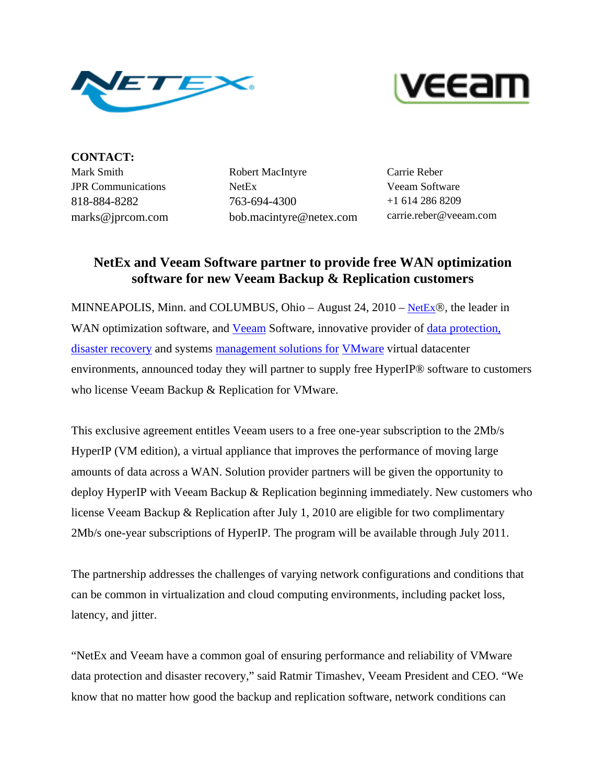



**CONTACT:** Mark Smith JPR Communications 818-884-8282 marks@jprcom.com

Robert MacIntyre NetEx 763-694-4300 bob.macintyre@netex.com

Carrie Reber Veeam Software +1 614 286 8209 carrie.reber@veeam.com

## **NetEx and Veeam Software partner to provide free WAN optimization software for new Veeam Backup & Replication customers**

MINNEAPOLIS, Minn. and COLUMBUS, Ohio – August 24, 2010 – [NetEx](http://www.netex.com/)®, the leader in WAN optimization software, and **Veeam** Software, innovative provider of data protection, [disaster recovery](http://www.veeam.com/vmware-esx-backup.html) and systems [management solutions for](http://www.veeam.com/products.asp) [VMware](http://www.veeam.com/vmware-esx-backup.html) virtual datacenter environments, announced today they will partner to supply free HyperIP® software to customers who license Veeam Backup & Replication for VMware.

This exclusive agreement entitles Veeam users to a free one-year subscription to the 2Mb/s HyperIP (VM edition), a virtual appliance that improves the performance of moving large amounts of data across a WAN. Solution provider partners will be given the opportunity to deploy HyperIP with Veeam Backup & Replication beginning immediately. New customers who license Veeam Backup & Replication after July 1, 2010 are eligible for two complimentary 2Mb/s one-year subscriptions of HyperIP. The program will be available through July 2011.

The partnership addresses the challenges of varying network configurations and conditions that can be common in virtualization and cloud computing environments, including packet loss, latency, and jitter.

"NetEx and Veeam have a common goal of ensuring performance and reliability of VMware data protection and disaster recovery," said Ratmir Timashev, Veeam President and CEO. "We know that no matter how good the backup and replication software, network conditions can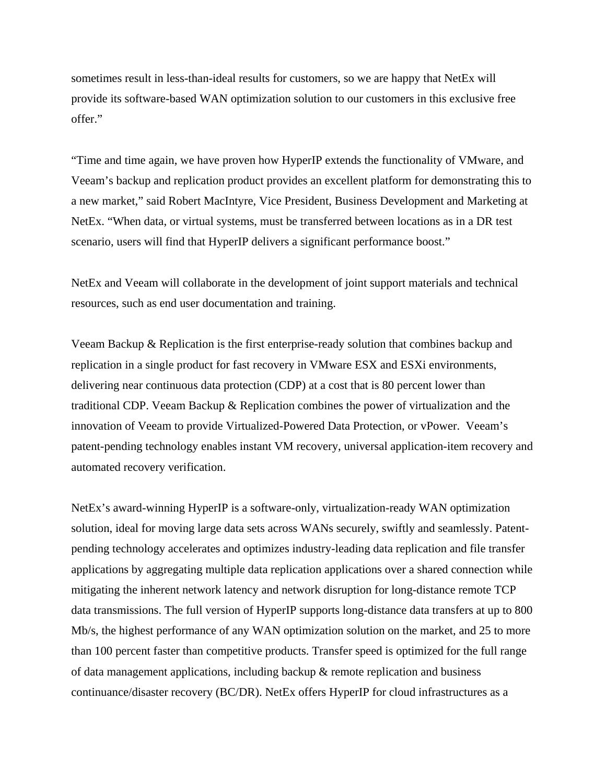sometimes result in less-than-ideal results for customers, so we are happy that NetEx will provide its software-based WAN optimization solution to our customers in this exclusive free offer."

"Time and time again, we have proven how HyperIP extends the functionality of VMware, and Veeam's backup and replication product provides an excellent platform for demonstrating this to a new market," said Robert MacIntyre, Vice President, Business Development and Marketing at NetEx. "When data, or virtual systems, must be transferred between locations as in a DR test scenario, users will find that HyperIP delivers a significant performance boost."

NetEx and Veeam will collaborate in the development of joint support materials and technical resources, such as end user documentation and training.

Veeam Backup & Replication is the first enterprise-ready solution that combines backup and replication in a single product for fast recovery in VMware ESX and ESXi environments, delivering near continuous data protection (CDP) at a cost that is 80 percent lower than traditional CDP. Veeam Backup & Replication combines the power of virtualization and the innovation of Veeam to provide Virtualized-Powered Data Protection, or vPower. Veeam's patent-pending technology enables instant VM recovery, universal application-item recovery and automated recovery verification.

NetEx's award-winning HyperIP is a software-only, virtualization-ready WAN optimization solution, ideal for moving large data sets across WANs securely, swiftly and seamlessly. Patentpending technology accelerates and optimizes industry-leading data replication and file transfer applications by aggregating multiple data replication applications over a shared connection while mitigating the inherent network latency and network disruption for long-distance remote TCP data transmissions. The full version of HyperIP supports long-distance data transfers at up to 800 Mb/s, the highest performance of any WAN optimization solution on the market, and 25 to more than 100 percent faster than competitive products. Transfer speed is optimized for the full range of data management applications, including backup & remote replication and business continuance/disaster recovery (BC/DR). NetEx offers HyperIP for cloud infrastructures as a